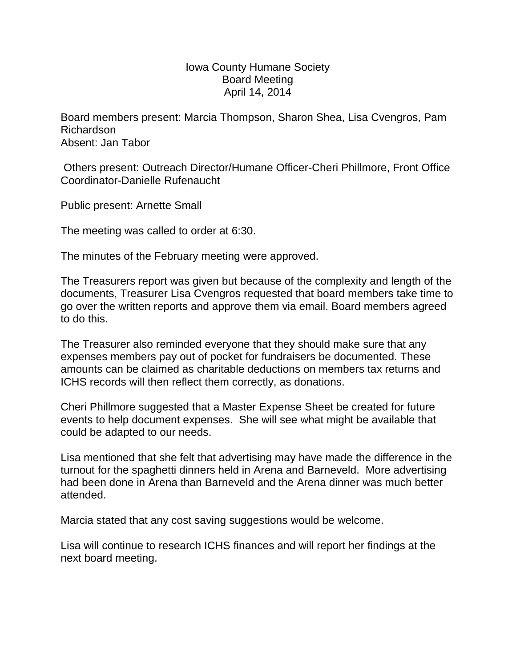## Iowa County Humane Society Board Meeting April 14, 2014

Board members present: Marcia Thompson, Sharon Shea, Lisa Cvengros, Pam Richardson Absent: Jan Tabor

Others present: Outreach Director/Humane Officer-Cheri Phillmore, Front Office Coordinator-Danielle Rufenaucht

Public present: Arnette Small

The meeting was called to order at 6:30.

The minutes of the February meeting were approved.

The Treasurers report was given but because of the complexity and length of the documents, Treasurer Lisa Cvengros requested that board members take time to go over the written reports and approve them via email. Board members agreed to do this.

The Treasurer also reminded everyone that they should make sure that any expenses members pay out of pocket for fundraisers be documented. These amounts can be claimed as charitable deductions on members tax returns and ICHS records will then reflect them correctly, as donations.

Cheri Phillmore suggested that a Master Expense Sheet be created for future events to help document expenses. She will see what might be available that could be adapted to our needs.

Lisa mentioned that she felt that advertising may have made the difference in the turnout for the spaghetti dinners held in Arena and Barneveld. More advertising had been done in Arena than Barneveld and the Arena dinner was much better attended.

Marcia stated that any cost saving suggestions would be welcome.

Lisa will continue to research ICHS finances and will report her findings at the next board meeting.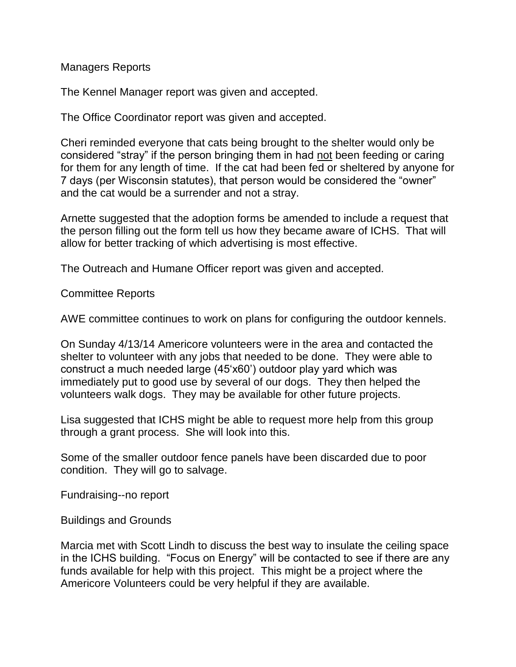Managers Reports

The Kennel Manager report was given and accepted.

The Office Coordinator report was given and accepted.

Cheri reminded everyone that cats being brought to the shelter would only be considered "stray" if the person bringing them in had not been feeding or caring for them for any length of time. If the cat had been fed or sheltered by anyone for 7 days (per Wisconsin statutes), that person would be considered the "owner" and the cat would be a surrender and not a stray.

Arnette suggested that the adoption forms be amended to include a request that the person filling out the form tell us how they became aware of ICHS. That will allow for better tracking of which advertising is most effective.

The Outreach and Humane Officer report was given and accepted.

Committee Reports

AWE committee continues to work on plans for configuring the outdoor kennels.

On Sunday 4/13/14 Americore volunteers were in the area and contacted the shelter to volunteer with any jobs that needed to be done. They were able to construct a much needed large (45'x60') outdoor play yard which was immediately put to good use by several of our dogs. They then helped the volunteers walk dogs. They may be available for other future projects.

Lisa suggested that ICHS might be able to request more help from this group through a grant process. She will look into this.

Some of the smaller outdoor fence panels have been discarded due to poor condition. They will go to salvage.

Fundraising--no report

Buildings and Grounds

Marcia met with Scott Lindh to discuss the best way to insulate the ceiling space in the ICHS building. "Focus on Energy" will be contacted to see if there are any funds available for help with this project. This might be a project where the Americore Volunteers could be very helpful if they are available.